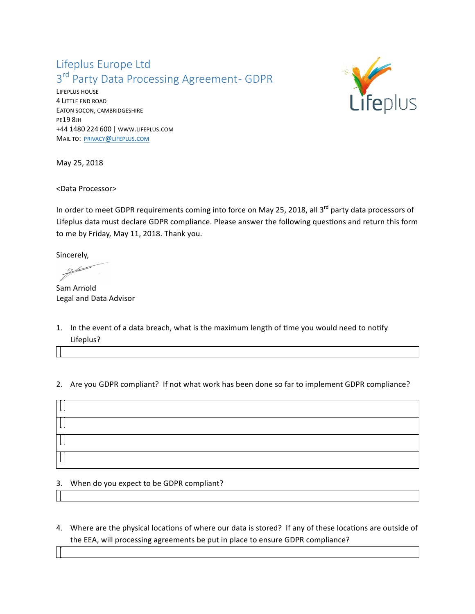# Lifeplus Europe Ltd 3<sup>rd</sup> Party Data Processing Agreement- GDPR

LIFEPLUS HOUSE 4 LITTLE END ROAD EATON SOCON, CAMBRIDGESHIRE PE19 8JH +44 1480 224 600 | WWW.LIFEPLUS.COM MAIL TO: PRIVACY@LIFEPLUS.COM



May 25, 2018

<Data Processor>

In order to meet GDPR requirements coming into force on May 25, 2018, all  $3^{rd}$  party data processors of Lifeplus data must declare GDPR compliance. Please answer the following questions and return this form to me by Friday, May 11, 2018. Thank you.

Sincerely,

Sam Arnold Legal and Data Advisor

1. In the event of a data breach, what is the maximum length of time you would need to notify Lifeplus?

### 2. Are you GDPR compliant? If not what work has been done so far to implement GDPR compliance?

#### 3. When do you expect to be GDPR compliant?

- 
- 4. Where are the physical locations of where our data is stored? If any of these locations are outside of the EEA, will processing agreements be put in place to ensure GDPR compliance?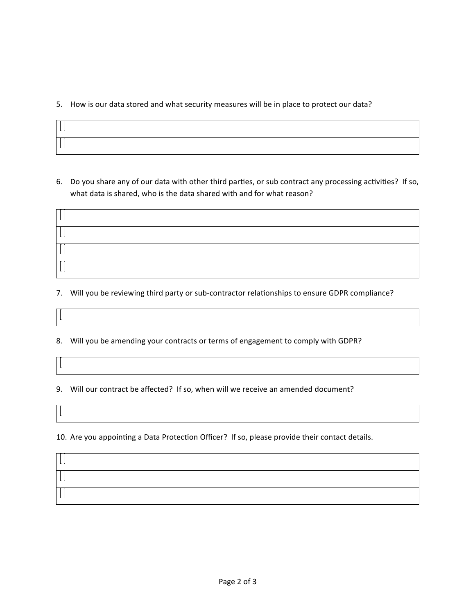#### 5. How is our data stored and what security measures will be in place to protect our data?

| т |  |
|---|--|

6. Do you share any of our data with other third parties, or sub contract any processing activities? If so, what data is shared, who is the data shared with and for what reason?



- 7. Will you be reviewing third party or sub-contractor relationships to ensure GDPR compliance?
- 8. Will you be amending your contracts or terms of engagement to comply with GDPR?

 $\perp$ 

 $\mathbf{I}$ 

- 9. Will our contract be affected? If so, when will we receive an amended document?
- 10. Are you appointing a Data Protection Officer? If so, please provide their contact details.